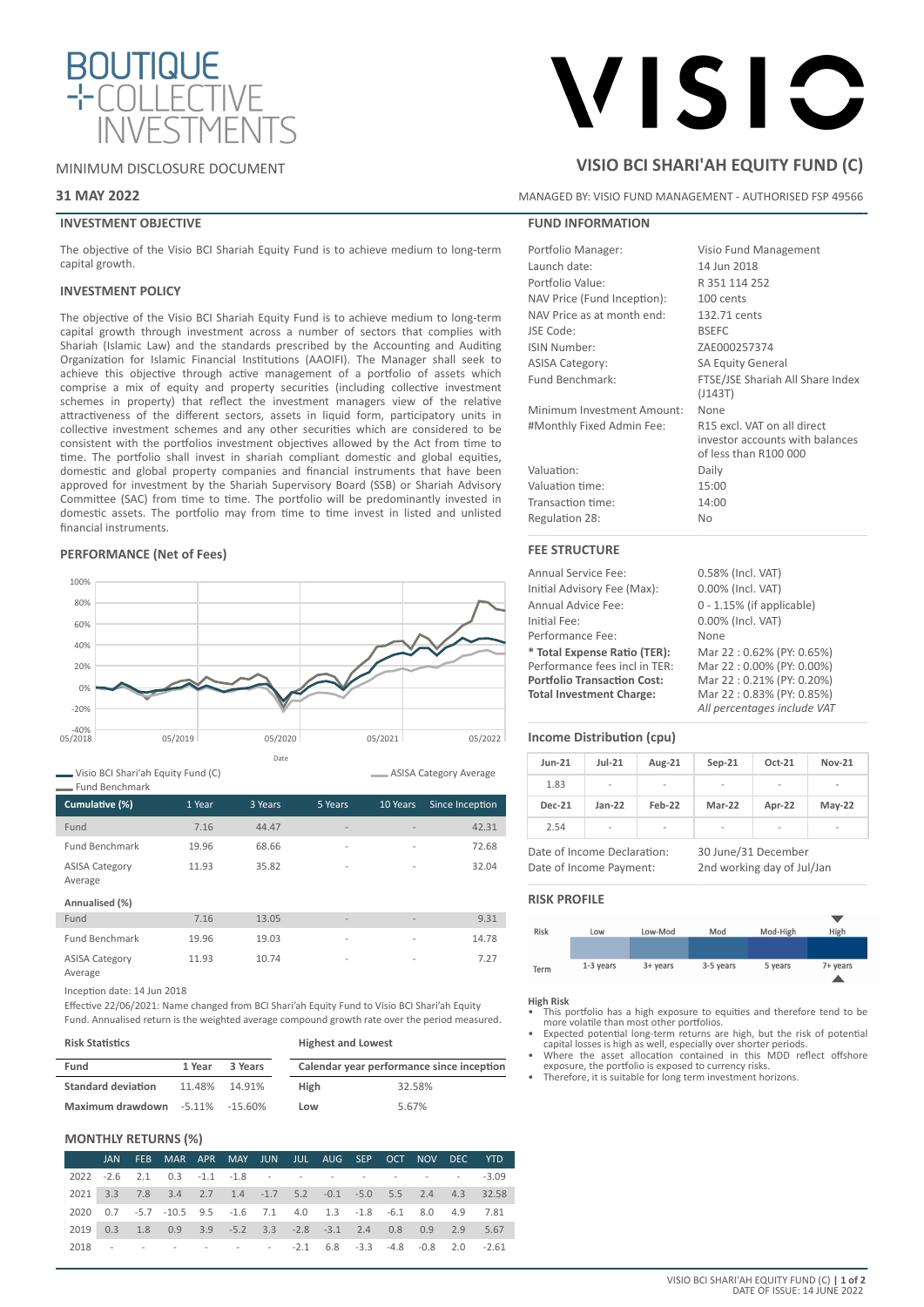

## MINIMUM DISCLOSURE DOCUMENT

## **31 MAY 2022**

## **INVESTMENT OBJECTIVE**

The objective of the Visio BCI Shariah Equity Fund is to achieve medium to long-term capital growth.

## **INVESTMENT POLICY**

The objective of the Visio BCI Shariah Equity Fund is to achieve medium to long-term capital growth through investment across a number of sectors that complies with Shariah (Islamic Law) and the standards prescribed by the Accounting and Auditing Organization for Islamic Financial Institutions (AAOIFI). The Manager shall seek to achieve this objective through active management of a portfolio of assets which comprise a mix of equity and property securities (including collective investment schemes in property) that reflect the investment managers view of the relative attractiveness of the different sectors, assets in liquid form, participatory units in collective investment schemes and any other securities which are considered to be consistent with the portfolios investment objectives allowed by the Act from time to time. The portfolio shall invest in shariah compliant domestic and global equities, domestic and global property companies and financial instruments that have been approved for investment by the Shariah Supervisory Board (SSB) or Shariah Advisory Committee (SAC) from time to time. The portfolio will be predominantly invested in domestic assets. The portfolio may from time to time invest in listed and unlisted financial instruments.

## **PERFORMANCE (Net of Fees)**



Visio BCI Shari'ah Equity Fund (C) Fund Benchmark

| TUNU DENGININGI N                |        |         |                          |                          |                 |
|----------------------------------|--------|---------|--------------------------|--------------------------|-----------------|
| Cumulative (%)                   | 1 Year | 3 Years | 5 Years                  | 10 Years                 | Since Inception |
| Fund                             | 7.16   | 44.47   | $\overline{\phantom{a}}$ |                          | 42.31           |
| <b>Fund Benchmark</b>            | 19.96  | 68.66   | $\overline{\phantom{a}}$ | $\overline{\phantom{a}}$ | 72.68           |
| <b>ASISA Category</b><br>Average | 11.93  | 35.82   | $\overline{a}$           | $\overline{a}$           | 32.04           |
| Annualised (%)                   |        |         |                          |                          |                 |
| Fund                             | 7.16   | 13.05   | ÷                        | $\overline{\phantom{a}}$ | 9.31            |
| <b>Fund Benchmark</b>            | 19.96  | 19.03   | $\overline{a}$           | $\overline{a}$           | 14.78           |
| <b>ASISA Category</b><br>Average | 11.93  | 10.74   | $\overline{a}$           | $\overline{\phantom{a}}$ | 7.27            |

Inception date: 14 Jun 2018

Effective 22/06/2021: Name changed from BCI Shari'ah Equity Fund to Visio BCI Shari'ah Equity Fund. Annualised return is the weighted average compound growth rate over the period measured.

| <b>Risk Statistics</b>                |        |               | <b>Highest and Lowest</b> |                                           |  |  |
|---------------------------------------|--------|---------------|---------------------------|-------------------------------------------|--|--|
| Fund                                  | 1 Year | 3 Years       |                           | Calendar year performance since inception |  |  |
| <b>Standard deviation</b>             |        | 11.48% 14.91% | High                      | 32.58%                                    |  |  |
| Maximum drawdown $-5.11\%$ $-15.60\%$ |        |               | Low                       | 5.67%                                     |  |  |

## **MONTHLY RETURNS (%)**

|  | JAN FEB MAR APR MAY JUN JUL AUG SEP OCT NOV DEC YTD                          |  |  |  |  |  |
|--|------------------------------------------------------------------------------|--|--|--|--|--|
|  | 2022 -2.6 2.1 0.3 -1.1 -1.8 - - - - - - - - - - - -3.09                      |  |  |  |  |  |
|  | 2021 3.3 7.8 3.4 2.7 1.4 -1.7 5.2 -0.1 -5.0 5.5 2.4 4.3 32.58                |  |  |  |  |  |
|  | 2020  0.7  -5.7  -10.5  9.5  -1.6  7.1  4.0  1.3  -1.8  -6.1  8.0  4.9  7.81 |  |  |  |  |  |
|  | 2019  0.3  1.8  0.9  3.9  -5.2  3.3  -2.8  -3.1  2.4  0.8  0.9  2.9  5.67    |  |  |  |  |  |
|  |                                                                              |  |  |  |  |  |

# VISIC

# **VISIO BCI SHARI'AH EQUITY FUND (C)**

MANAGED BY: VISIO FUND MANAGEMENT - AUTHORISED FSP 49566

## **FUND INFORMATION**

| Portfolio Manager:          | Visio Fund Management            |
|-----------------------------|----------------------------------|
| Launch date:                | 14 Jun 2018                      |
| Portfolio Value:            | R 351 114 252                    |
| NAV Price (Fund Inception): | 100 cents                        |
| NAV Price as at month end:  | 132.71 cents                     |
| JSE Code:                   | <b>BSEFC</b>                     |
| ISIN Number:                | ZAE000257374                     |
| <b>ASISA Category:</b>      | <b>SA Equity General</b>         |
| Fund Benchmark:             | FTSE/JSE Shariah All Share Index |
|                             | (J143T)                          |
| Minimum Investment Amount:  | None                             |
| #Monthly Fixed Admin Fee:   | R15 excl. VAT on all direct      |
|                             | investor accounts with balances  |
|                             | of less than R100 000            |
| Valuation:                  | Daily                            |
| Valuation time:             | 15:00                            |
| Transaction time:           | 14:00                            |
| Regulation 28:              | Nο                               |
|                             |                                  |

## **FEE STRUCTURE**

| <b>Annual Service Fee:</b>         | 0.58% (Incl. VAT)            |
|------------------------------------|------------------------------|
| Initial Advisory Fee (Max):        | 0.00% (Incl. VAT)            |
| Annual Advice Fee:                 | $0 - 1.15\%$ (if applicable) |
| Initial Fee:                       | 0.00% (Incl. VAT)            |
| Performance Fee:                   | None                         |
| * Total Expense Ratio (TER):       | Mar 22:0.62% (PY: 0.65%)     |
| Performance fees incl in TER:      | Mar 22:0.00% (PY: 0.00%)     |
| <b>Portfolio Transaction Cost:</b> | Mar 22:0.21% (PY: 0.20%)     |
| <b>Total Investment Charge:</b>    | Mar 22:0.83% (PY: 0.85%)     |
|                                    | All percentages include VAT  |

## **Income Distribution (cpu)**

| <b>Jun-21</b> | $Jul-21$                 | Aug-21                   | $Sep-21$       | Oct-21                   | <b>Nov-21</b>            |
|---------------|--------------------------|--------------------------|----------------|--------------------------|--------------------------|
| 1.83          | $\overline{\phantom{a}}$ | $\overline{\phantom{a}}$ | $\overline{a}$ | $\overline{\phantom{a}}$ | -                        |
| <b>Dec-21</b> | $Jan-22$                 | Feb-22                   | Mar-22         | Apr-22                   | $May-22$                 |
| 2.54          | ۰                        | $\overline{\phantom{a}}$ | ۰              | $\overline{\phantom{a}}$ | $\overline{\phantom{a}}$ |

Date of Income Declaration: 30 June/31 December

Date of Income Payment: 2nd working day of Jul/Jan

## **RISK PROFILE**

**ASISA Category Average** 



## **High Risk**

- This portfolio has a high exposure to equities and therefore tend to be more volatile than most other portfolios. Expected potential long-term returns are high, but the risk of potential
- capital losses is high as well, especially over shorter periods. • Where the asset allocation contained in this MDD reflect offshore
- exposure, the portfolio is exposed to currency risks.
- Therefore, it is suitable for long term investment horizons.